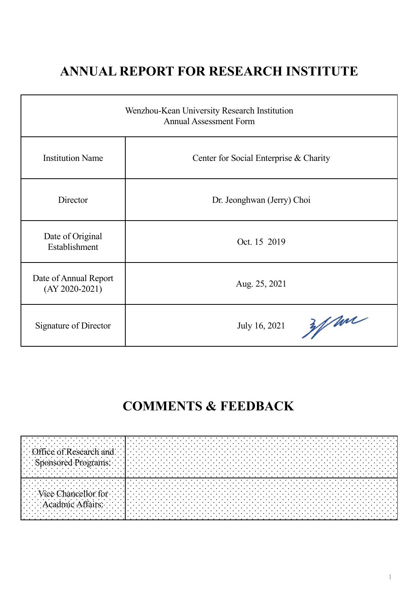## **ANNUAL REPORT FOR RESEARCH INSTITUTE**

| Wenzhou-Kean University Research Institution<br><b>Annual Assessment Form</b> |                                        |  |
|-------------------------------------------------------------------------------|----------------------------------------|--|
| <b>Institution Name</b>                                                       | Center for Social Enterprise & Charity |  |
| Director                                                                      | Dr. Jeonghwan (Jerry) Choi             |  |
| Date of Original<br>Establishment                                             | Oct. 15 2019                           |  |
| Date of Annual Report<br>$(AY 2020-2021)$                                     | Aug. 25, 2021                          |  |
| Signature of Director                                                         | Wan<br>July 16, 2021                   |  |

## **COMMENTS & FEEDBACK**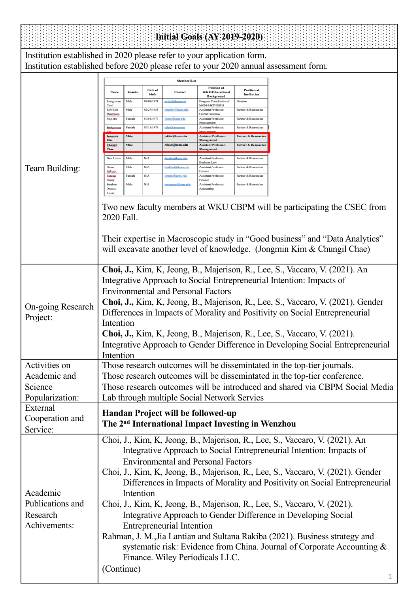| <b>Initial Goals (AY 2019-2020)</b>                      |                                                                                                                                                                                                                                                                                                                                                                                                                                                                                                                                                                                                                                                                                                                                                                                                  |  |  |  |
|----------------------------------------------------------|--------------------------------------------------------------------------------------------------------------------------------------------------------------------------------------------------------------------------------------------------------------------------------------------------------------------------------------------------------------------------------------------------------------------------------------------------------------------------------------------------------------------------------------------------------------------------------------------------------------------------------------------------------------------------------------------------------------------------------------------------------------------------------------------------|--|--|--|
|                                                          | Institution established in 2020 please refer to your application form.                                                                                                                                                                                                                                                                                                                                                                                                                                                                                                                                                                                                                                                                                                                           |  |  |  |
|                                                          | Institution established before 2020 please refer to your 2020 annual assessment form.                                                                                                                                                                                                                                                                                                                                                                                                                                                                                                                                                                                                                                                                                                            |  |  |  |
|                                                          | <b>Member List</b>                                                                                                                                                                                                                                                                                                                                                                                                                                                                                                                                                                                                                                                                                                                                                                               |  |  |  |
|                                                          | Position at<br><b>Position</b> at<br>Date of<br>Gender<br>Name<br>Contact<br><b>WKU/Educational</b><br>birth<br>Institution<br><b>Background</b>                                                                                                                                                                                                                                                                                                                                                                                                                                                                                                                                                                                                                                                 |  |  |  |
|                                                          | Male<br>09/08/1971<br>Jeonghwan<br>jechoi@kean.edu<br>Program Coordinator of<br>Director<br>Choi<br><b>MGM/MKT/GBUS</b>                                                                                                                                                                                                                                                                                                                                                                                                                                                                                                                                                                                                                                                                          |  |  |  |
|                                                          | Male<br>03/27/1955<br>Rob Kim<br>Partner & Researche<br>marieri@kean.edu<br>Assistant Professor.<br><b>Global Business</b><br>Majeriso<br>07/01/1977<br>Jing Ma<br>Female<br><u>jinma@kean.edu</u><br>Assistant Professor.<br>Partner & Researche                                                                                                                                                                                                                                                                                                                                                                                                                                                                                                                                                |  |  |  |
|                                                          | Management<br>Female<br>07/11/1979<br>Assistant Professor,<br>Partner & Researche<br>Sookseeine<br><u>solee@kean.edu</u>                                                                                                                                                                                                                                                                                                                                                                                                                                                                                                                                                                                                                                                                         |  |  |  |
|                                                          | Male<br>jokim@kean.edu<br><b>Assistant Professor</b> ,<br>Partner & Researcher<br>Jonem<br>Kim<br>Management                                                                                                                                                                                                                                                                                                                                                                                                                                                                                                                                                                                                                                                                                     |  |  |  |
|                                                          | Male<br>Changil<br>cchae@kean.edu<br>Assistant Professor,<br><b>Partner &amp; Researcher</b><br>Chae<br>Management                                                                                                                                                                                                                                                                                                                                                                                                                                                                                                                                                                                                                                                                               |  |  |  |
|                                                          | Male<br>N/A<br>Dan Austin<br><u>daustin@kean.edu</u><br>Assistant Professor,<br>Partner & Researcher<br><b>Business Law</b>                                                                                                                                                                                                                                                                                                                                                                                                                                                                                                                                                                                                                                                                      |  |  |  |
| Team Building:                                           | Male<br>N/A<br>Hasan<br>hbaklaci@kean.edu<br>Assistant Professor<br>Partner & Researche<br>Baklaci<br>Finance<br><b>Jianing</b><br>Female<br>N/A<br><u>izhang Sikoan.edu</u><br>Assistant Professor.<br>Partner & Researche                                                                                                                                                                                                                                                                                                                                                                                                                                                                                                                                                                      |  |  |  |
|                                                          | Zhang<br>Finance<br>Stephen<br>Male<br>N/A<br>Assistant Professor,<br>Partner & Researcher<br>sowuspan@kean.edu                                                                                                                                                                                                                                                                                                                                                                                                                                                                                                                                                                                                                                                                                  |  |  |  |
|                                                          | Owusu<br>Accounting                                                                                                                                                                                                                                                                                                                                                                                                                                                                                                                                                                                                                                                                                                                                                                              |  |  |  |
|                                                          | Two new faculty members at WKU CBPM will be participating the CSEC from<br>2020 Fall.<br>Their expertise in Macroscopic study in "Good business" and "Data Analytics"<br>will excavate another level of knowledge. (Jongmin Kim & Chungil Chae)                                                                                                                                                                                                                                                                                                                                                                                                                                                                                                                                                  |  |  |  |
| On-going Research<br>Project:                            | Choi, J., Kim, K., Jeong, B., Majerison, R., Lee, S., Vaccaro, V. (2021). An<br>Integrative Approach to Social Entrepreneurial Intention: Impacts of<br><b>Environmental and Personal Factors</b><br>Choi, J., Kim, K, Jeong, B., Majerison, R., Lee, S., Vaccaro, V. (2021). Gender<br>Differences in Impacts of Morality and Positivity on Social Entrepreneurial<br>Intention<br>Choi, J., Kim, K., Jeong, B., Majerison, R., Lee, S., Vaccaro, V. (2021).<br>Integrative Approach to Gender Difference in Developing Social Entrepreneurial<br>Intention                                                                                                                                                                                                                                     |  |  |  |
| Activities on                                            | Those research outcomes will be dissemintated in the top-tier journals.                                                                                                                                                                                                                                                                                                                                                                                                                                                                                                                                                                                                                                                                                                                          |  |  |  |
| Academic and                                             | Those research outcomes will be dissemintated in the top-tier conference.                                                                                                                                                                                                                                                                                                                                                                                                                                                                                                                                                                                                                                                                                                                        |  |  |  |
| Science                                                  | Those research outcomes will be introduced and shared via CBPM Social Media                                                                                                                                                                                                                                                                                                                                                                                                                                                                                                                                                                                                                                                                                                                      |  |  |  |
| Popularization:<br>External                              | Lab through multiple Social Network Servies                                                                                                                                                                                                                                                                                                                                                                                                                                                                                                                                                                                                                                                                                                                                                      |  |  |  |
| Cooperation and<br>Service:                              | Handan Project will be followed-up<br>The 2 <sup>nd</sup> International Impact Investing in Wenzhou                                                                                                                                                                                                                                                                                                                                                                                                                                                                                                                                                                                                                                                                                              |  |  |  |
| Academic<br>Publications and<br>Research<br>Achivements: | Choi, J., Kim, K, Jeong, B., Majerison, R., Lee, S., Vaccaro, V. (2021). An<br>Integrative Approach to Social Entrepreneurial Intention: Impacts of<br><b>Environmental and Personal Factors</b><br>Choi, J., Kim, K., Jeong, B., Majerison, R., Lee, S., Vaccaro, V. (2021). Gender<br>Differences in Impacts of Morality and Positivity on Social Entrepreneurial<br>Intention<br>Choi, J., Kim, K., Jeong, B., Majerison, R., Lee, S., Vaccaro, V. (2021).<br>Integrative Approach to Gender Difference in Developing Social<br><b>Entrepreneurial Intention</b><br>Rahman, J. M., Jia Lantian and Sultana Rakiba (2021). Business strategy and<br>systematic risk: Evidence from China. Journal of Corporate Accounting &<br>Finance. Wiley Periodicals LLC.<br>(Continue)<br>$\overline{2}$ |  |  |  |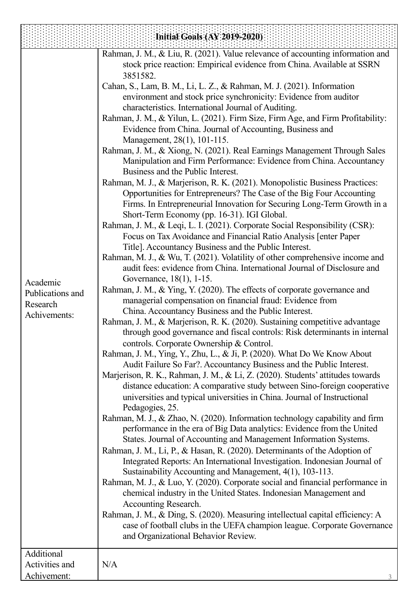|                  | Initial Goals (AY 2019-2020)                                                                                                                     |
|------------------|--------------------------------------------------------------------------------------------------------------------------------------------------|
|                  | Rahman, J. M., & Liu, R. (2021). Value relevance of accounting information and                                                                   |
|                  | stock price reaction: Empirical evidence from China. Available at SSRN                                                                           |
|                  | 3851582.                                                                                                                                         |
|                  | Cahan, S., Lam, B. M., Li, L. Z., & Rahman, M. J. (2021). Information                                                                            |
|                  | environment and stock price synchronicity: Evidence from auditor                                                                                 |
|                  | characteristics. International Journal of Auditing.                                                                                              |
|                  | Rahman, J. M., & Yilun, L. (2021). Firm Size, Firm Age, and Firm Profitability:                                                                  |
|                  | Evidence from China. Journal of Accounting, Business and                                                                                         |
|                  | Management, 28(1), 101-115.                                                                                                                      |
|                  | Rahman, J. M., & Xiong, N. (2021). Real Earnings Management Through Sales<br>Manipulation and Firm Performance: Evidence from China. Accountancy |
|                  | Business and the Public Interest.                                                                                                                |
|                  | Rahman, M. J., & Marjerison, R. K. (2021). Monopolistic Business Practices:                                                                      |
|                  | Opportunities for Entrepreneurs? The Case of the Big Four Accounting                                                                             |
|                  | Firms. In Entrepreneurial Innovation for Securing Long-Term Growth in a                                                                          |
|                  | Short-Term Economy (pp. 16-31). IGI Global.                                                                                                      |
|                  | Rahman, J. M., & Leqi, L. I. (2021). Corporate Social Responsibility (CSR):                                                                      |
|                  | Focus on Tax Avoidance and Financial Ratio Analysis [enter Paper                                                                                 |
|                  | Title]. Accountancy Business and the Public Interest.                                                                                            |
|                  | Rahman, M. J., & Wu, T. (2021). Volatility of other comprehensive income and                                                                     |
|                  | audit fees: evidence from China. International Journal of Disclosure and                                                                         |
| Academic         | Governance, 18(1), 1-15.                                                                                                                         |
| Publications and | Rahman, J. M., & Ying, Y. (2020). The effects of corporate governance and                                                                        |
| Research         | managerial compensation on financial fraud: Evidence from                                                                                        |
| Achivements:     | China. Accountancy Business and the Public Interest.                                                                                             |
|                  | Rahman, J. M., & Marjerison, R. K. (2020). Sustaining competitive advantage                                                                      |
|                  | through good governance and fiscal controls: Risk determinants in internal                                                                       |
|                  | controls. Corporate Ownership & Control.                                                                                                         |
|                  | Rahman, J. M., Ying, Y., Zhu, L., & Ji, P. (2020). What Do We Know About                                                                         |
|                  | Audit Failure So Far?. Accountancy Business and the Public Interest.                                                                             |
|                  | Marjerison, R. K., Rahman, J. M., & Li, Z. (2020). Students' attitudes towards                                                                   |
|                  | distance education: A comparative study between Sino-foreign cooperative                                                                         |
|                  | universities and typical universities in China. Journal of Instructional                                                                         |
|                  | Pedagogies, 25.                                                                                                                                  |
|                  | Rahman, M. J., & Zhao, N. (2020). Information technology capability and firm                                                                     |
|                  | performance in the era of Big Data analytics: Evidence from the United                                                                           |
|                  | States. Journal of Accounting and Management Information Systems.                                                                                |
|                  | Rahman, J. M., Li, P., & Hasan, R. (2020). Determinants of the Adoption of                                                                       |
|                  | Integrated Reports: An International Investigation. Indonesian Journal of<br>Sustainability Accounting and Management, 4(1), 103-113.            |
|                  | Rahman, M. J., & Luo, Y. (2020). Corporate social and financial performance in                                                                   |
|                  | chemical industry in the United States. Indonesian Management and                                                                                |
|                  | Accounting Research.                                                                                                                             |
|                  | Rahman, J. M., & Ding, S. (2020). Measuring intellectual capital efficiency: A                                                                   |
|                  | case of football clubs in the UEFA champion league. Corporate Governance                                                                         |
|                  | and Organizational Behavior Review.                                                                                                              |
|                  |                                                                                                                                                  |
| Additional       |                                                                                                                                                  |
| Activities and   | N/A                                                                                                                                              |
| Achivement:      |                                                                                                                                                  |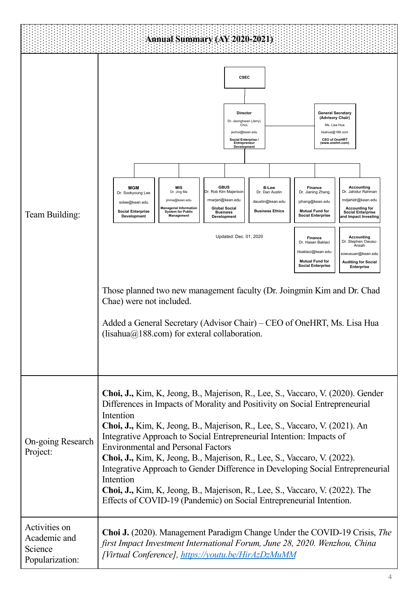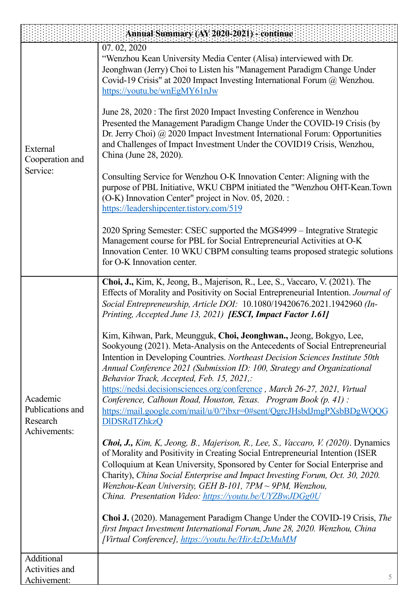|                                                          | Annual Summary (AY:2020-2021) - continue                                                                                                                                                                                                                                                                                                                                                                                                                                                                                                                                                                    |
|----------------------------------------------------------|-------------------------------------------------------------------------------------------------------------------------------------------------------------------------------------------------------------------------------------------------------------------------------------------------------------------------------------------------------------------------------------------------------------------------------------------------------------------------------------------------------------------------------------------------------------------------------------------------------------|
| External<br>Cooperation and<br>Service:                  | 07.02, 2020<br>"Wenzhou Kean University Media Center (Alisa) interviewed with Dr.<br>Jeonghwan (Jerry) Choi to Listen his "Management Paradigm Change Under<br>Covid-19 Crisis" at 2020 Impact Investing International Forum @ Wenzhou.<br>https://youtu.be/wnEgMY61nJw                                                                                                                                                                                                                                                                                                                                     |
|                                                          | June 28, 2020 : The first 2020 Impact Investing Conference in Wenzhou<br>Presented the Management Paradigm Change Under the COVID-19 Crisis (by<br>Dr. Jerry Choi) @ 2020 Impact Investment International Forum: Opportunities<br>and Challenges of Impact Investment Under the COVID19 Crisis, Wenzhou,<br>China (June 28, 2020).                                                                                                                                                                                                                                                                          |
|                                                          | Consulting Service for Wenzhou O-K Innovation Center: Aligning with the<br>purpose of PBL Initiative, WKU CBPM initiated the "Wenzhou OHT-Kean.Town<br>(O-K) Innovation Center" project in Nov. 05, 2020. :<br>https://leadershipcenter.tistory.com/519                                                                                                                                                                                                                                                                                                                                                     |
|                                                          | 2020 Spring Semester: CSEC supported the MGS4999 - Integrative Strategic<br>Management course for PBL for Social Entrepreneurial Activities at O-K<br>Innovation Center. 10 WKU CBPM consulting teams proposed strategic solutions<br>for O-K Innovation center.                                                                                                                                                                                                                                                                                                                                            |
| Academic<br>Publications and<br>Research<br>Achivements: | Choi, J., Kim, K., Jeong, B., Majerison, R., Lee, S., Vaccaro, V. (2021). The<br>Effects of Morality and Positivity on Social Entrepreneurial Intention. Journal of<br>Social Entrepreneurship, Article DOI: 10.1080/19420676.2021.1942960 (In-<br>Printing, Accepted June 13, 2021) [ESCI, Impact Factor 1.61]                                                                                                                                                                                                                                                                                             |
|                                                          | Kim, Kihwan, Park, Meungguk, Choi, Jeonghwan., Jeong, Bokgyo, Lee,<br>Sookyoung (2021). Meta-Analysis on the Antecedents of Social Entrepreneurial<br>Intention in Developing Countries. Northeast Decision Sciences Institute 50th<br>Annual Conference 2021 (Submission ID: 100, Strategy and Organizational<br>Behavior Track, Accepted, Feb. 15, 2021,:<br>https://nedsi.decisionsciences.org/conference, March 26-27, 2021, Virtual<br>Conference, Calhoun Road, Houston, Texas. Program Book (p. 41):<br>https://mail.google.com/mail/u/0/?ibxr=0#sent/QgrcJHsbdJmgPXsbBDgWQQG<br><b>DIDSRdTZhkzQ</b> |
|                                                          | Choi, J., Kim, K., Jeong, B., Majerison, R., Lee, S., Vaccaro, V. (2020). Dynamics<br>of Morality and Positivity in Creating Social Entrepreneurial Intention (ISER<br>Colloquium at Kean University, Sponsored by Center for Social Enterprise and<br>Charity), China Social Enterprise and Impact Investing Forum, Oct. 30, 2020.<br>Wenzhou-Kean University, GEH B-101, 7PM $\sim$ 9PM, Wenzhou,<br>China. Presentation Video: https://youtu.be/UYZBwJDGg0U                                                                                                                                              |
|                                                          | Choi J. (2020). Management Paradigm Change Under the COVID-19 Crisis, The<br>first Impact Investment International Forum, June 28, 2020. Wenzhou, China<br>[Virtual Conference], https://youtu.be/HirAzDzMuMM                                                                                                                                                                                                                                                                                                                                                                                               |
| Additional                                               |                                                                                                                                                                                                                                                                                                                                                                                                                                                                                                                                                                                                             |
| Activities and<br>Achivement:                            | 5                                                                                                                                                                                                                                                                                                                                                                                                                                                                                                                                                                                                           |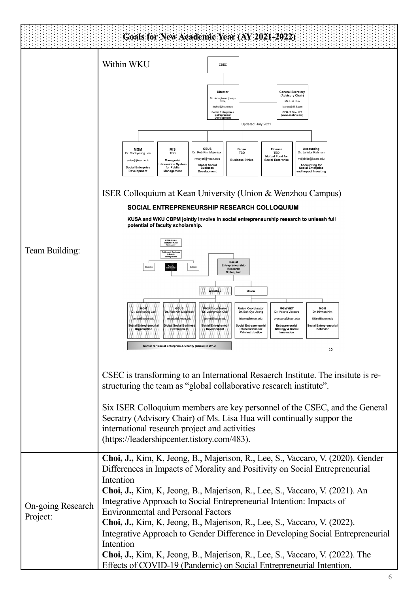